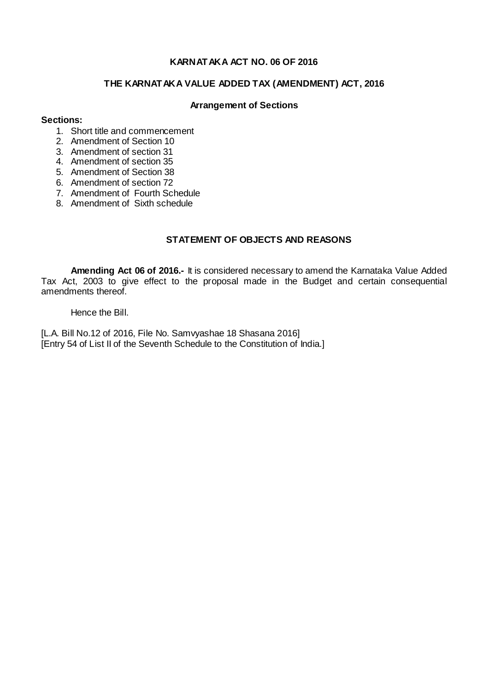## **KARNATAKA ACT NO. 06 OF 2016**

# **THE KARNATAKA VALUE ADDED TAX (AMENDMENT) ACT, 2016**

### **Arrangement of Sections**

### **Sections:**

- 1. Short title and commencement
- 2. Amendment of Section 10
- 3. Amendment of section 31
- 4. Amendment of section 35
- 5. Amendment of Section 38
- 6. Amendment of section 72
- 7. Amendment of Fourth Schedule
- 8. Amendment of Sixth schedule

## **STATEMENT OF OBJECTS AND REASONS**

**Amending Act 06 of 2016.-** It is considered necessary to amend the Karnataka Value Added Tax Act, 2003 to give effect to the proposal made in the Budget and certain consequential amendments thereof.

Hence the Bill.

[L.A. Bill No.12 of 2016, File No. Samvyashae 18 Shasana 2016] [Entry 54 of List II of the Seventh Schedule to the Constitution of India.]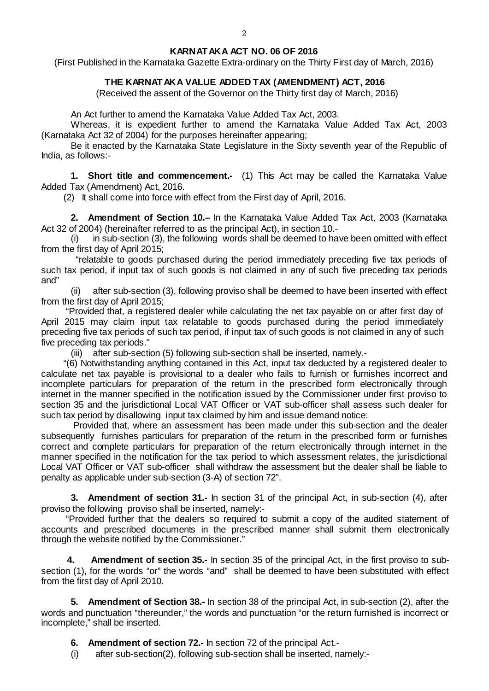### **KARNATAKA ACT NO. 06 OF 2016**

(First Published in the Karnataka Gazette Extra-ordinary on the Thirty First day of March, 2016)

## **THE KARNATAKA VALUE ADDED TAX (AMENDMENT) ACT, 2016**

(Received the assent of the Governor on the Thirty first day of March, 2016)

An Act further to amend the Karnataka Value Added Tax Act, 2003.

Whereas, it is expedient further to amend the Karnataka Value Added Tax Act, 2003 (Karnataka Act 32 of 2004) for the purposes hereinafter appearing;

Be it enacted by the Karnataka State Legislature in the Sixty seventh year of the Republic of India, as follows:-

**1.** Short title and commencement.- (1) This Act may be called the Karnataka Value Added Tax (Amendment) Act, 2016.

(2) It shall come into force with effect from the First day of April, 2016.

**2. Amendment of Section 10.–** In the Karnataka Value Added Tax Act, 2003 (Karnataka Act 32 of 2004) (hereinafter referred to as the principal Act), in section 10.-

(i) in sub-section (3), the following words shall be deemed to have been omitted with effect from the first day of April 2015;

 "relatable to goods purchased during the period immediately preceding five tax periods of such tax period, if input tax of such goods is not claimed in any of such five preceding tax periods and"

(ii) after sub-section (3), following proviso shall be deemed to have been inserted with effect from the first day of April 2015;

"Provided that, a registered dealer while calculating the net tax payable on or after first day of April 2015 may claim input tax relatable to goods purchased during the period immediately preceding five tax periods of such tax period, if input tax of such goods is not claimed in any of such five preceding tax periods."

(iii) after sub-section (5) following sub-section shall be inserted, namely.-

"(6) Notwithstanding anything contained in this Act, input tax deducted by a registered dealer to calculate net tax payable is provisional to a dealer who fails to furnish or furnishes incorrect and incomplete particulars for preparation of the return in the prescribed form electronically through internet in the manner specified in the notification issued by the Commissioner under first proviso to section 35 and the jurisdictional Local VAT Officer or VAT sub-officer shall assess such dealer for such tax period by disallowing input tax claimed by him and issue demand notice:

Provided that, where an assessment has been made under this sub-section and the dealer subsequently furnishes particulars for preparation of the return in the prescribed form or furnishes correct and complete particulars for preparation of the return electronically through internet in the manner specified in the notification for the tax period to which assessment relates, the jurisdictional Local VAT Officer or VAT sub-officer shall withdraw the assessment but the dealer shall be liable to penalty as applicable under sub-section (3-A) of section 72".

**3. Amendment of section 31.-** In section 31 of the principal Act, in sub-section (4), after proviso the following proviso shall be inserted, namely:-

"Provided further that the dealers so required to submit a copy of the audited statement of accounts and prescribed documents in the prescribed manner shall submit them electronically through the website notified by the Commissioner."

**4. Amendment of section 35.-** In section 35 of the principal Act, in the first proviso to subsection (1), for the words "or" the words "and" shall be deemed to have been substituted with effect from the first day of April 2010.

**5. Amendment of Section 38.-** In section 38 of the principal Act, in sub-section (2), after the words and punctuation "thereunder," the words and punctuation "or the return furnished is incorrect or incomplete," shall be inserted.

**6. Amendment of section 72.-** In section 72 of the principal Act.-

(i) after sub-section(2), following sub-section shall be inserted, namely:-